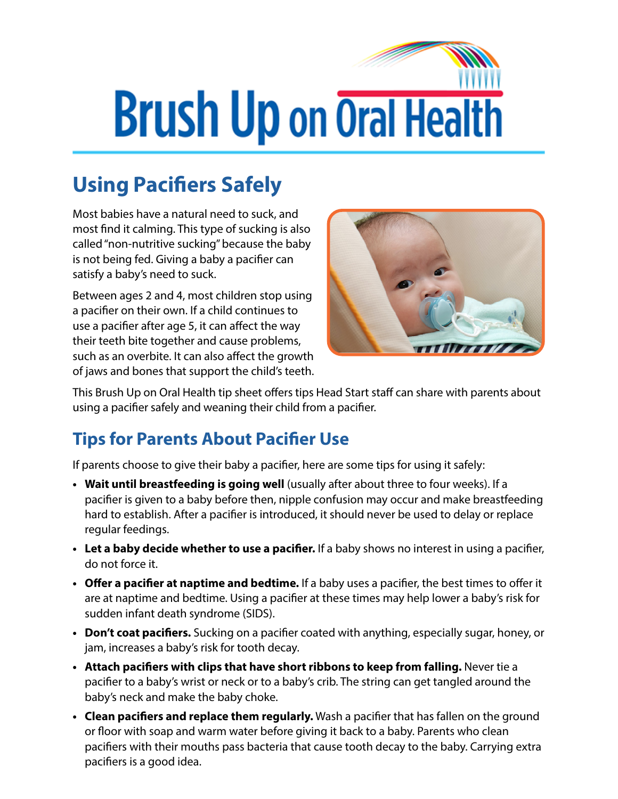## **Brush Up on Oral Health**

## **Using Pacifiers Safely**

Most babies have a natural need to suck, and most find it calming. This type of sucking is also called "non-nutritive sucking" because the baby is not being fed. Giving a baby a pacifier can satisfy a baby's need to suck.

Between ages 2 and 4, most children stop using a pacifier on their own. If a child continues to use a pacifier after age 5, it can affect the way their teeth bite together and cause problems, such as an overbite. It can also affect the growth of jaws and bones that support the child's teeth.



This Brush Up on Oral Health tip sheet offers tips Head Start staff can share with parents about using a pacifier safely and weaning their child from a pacifier.

## **Tips for Parents About Pacifier Use**

If parents choose to give their baby a pacifier, here are some tips for using it safely:

- **• Wait until breastfeeding is going well** (usually after about three to four weeks). If a pacifier is given to a baby before then, nipple confusion may occur and make breastfeeding hard to establish. After a pacifier is introduced, it should never be used to delay or replace regular feedings.
- **• Let a baby decide whether to use a pacifier.** If a baby shows no interest in using a pacifier, do not force it.
- **• Offer a pacifier at naptime and bedtime.** If a baby uses a pacifier, the best times to offer it are at naptime and bedtime. Using a pacifier at these times may help lower a baby's risk for sudden infant death syndrome (SIDS).
- **• Don't coat pacifiers.** Sucking on a pacifier coated with anything, especially sugar, honey, or jam, increases a baby's risk for tooth decay.
- **• Attach pacifiers with clips that have short ribbons to keep from falling.** Never tie a pacifier to a baby's wrist or neck or to a baby's crib. The string can get tangled around the baby's neck and make the baby choke.
- **• Clean pacifiers and replace them regularly.** Wash a pacifier that has fallen on the ground or floor with soap and warm water before giving it back to a baby. Parents who clean pacifiers with their mouths pass bacteria that cause tooth decay to the baby. Carrying extra pacifiers is a good idea.